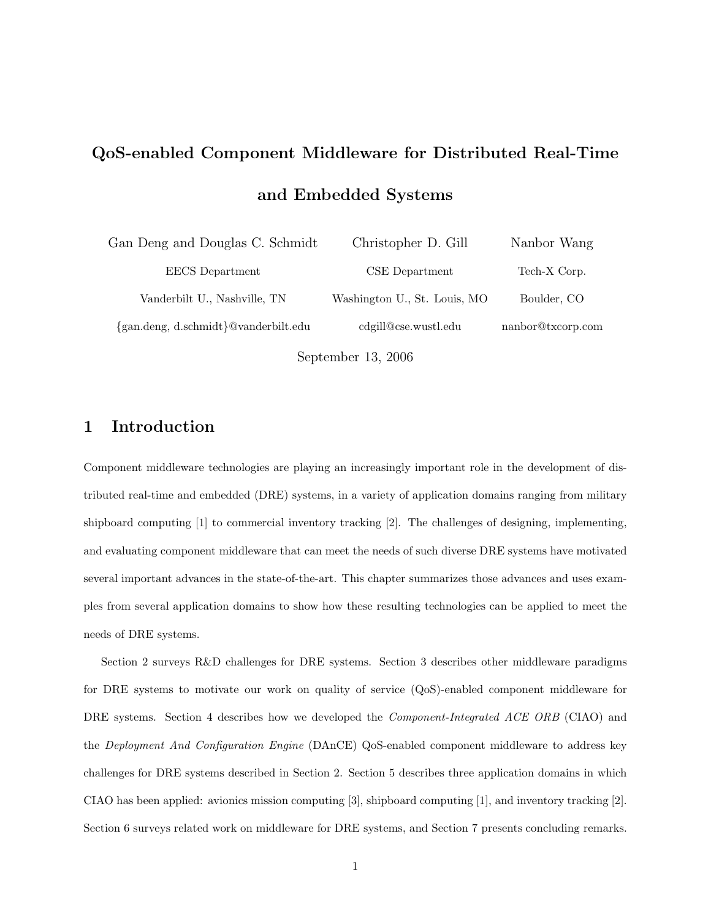# **QoS-enabled Component Middleware for Distributed Real-Time and Embedded Systems**

| Gan Deng and Douglas C. Schmidt           | Christopher D. Gill          | Nanbor Wang       |
|-------------------------------------------|------------------------------|-------------------|
| EECS Department                           | CSE Department               | Tech-X Corp.      |
| Vanderbilt U., Nashville, TN              | Washington U., St. Louis, MO | Boulder, CO       |
| $\{gan.deng, d.schmidt\}$ @vanderbilt.edu | cdgill@cse.wustl.edu         | nanbor@txcorp.com |
|                                           |                              |                   |

September 13, 2006

## **1 Introduction**

Component middleware technologies are playing an increasingly important role in the development of distributed real-time and embedded (DRE) systems, in a variety of application domains ranging from military shipboard computing [1] to commercial inventory tracking [2]. The challenges of designing, implementing, and evaluating component middleware that can meet the needs of such diverse DRE systems have motivated several important advances in the state-of-the-art. This chapter summarizes those advances and uses examples from several application domains to show how these resulting technologies can be applied to meet the needs of DRE systems.

Section 2 surveys R&D challenges for DRE systems. Section 3 describes other middleware paradigms for DRE systems to motivate our work on quality of service (QoS)-enabled component middleware for DRE systems. Section 4 describes how we developed the *Component-Integrated ACE ORB* (CIAO) and the *Deployment And Configuration Engine* (DAnCE) QoS-enabled component middleware to address key challenges for DRE systems described in Section 2. Section 5 describes three application domains in which CIAO has been applied: avionics mission computing [3], shipboard computing [1], and inventory tracking [2]. Section 6 surveys related work on middleware for DRE systems, and Section 7 presents concluding remarks.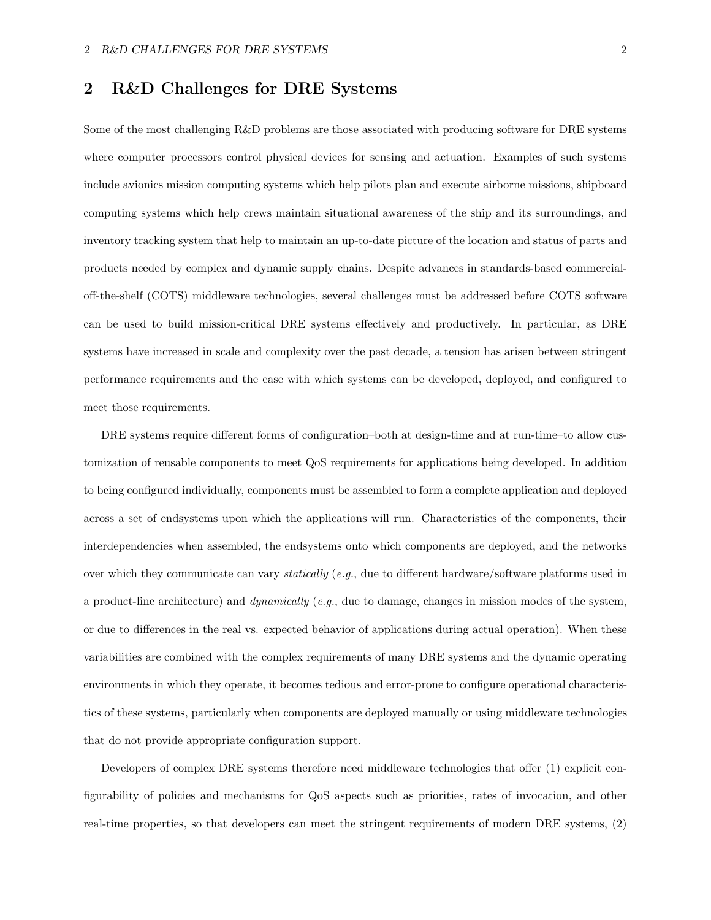## **2 R&D Challenges for DRE Systems**

Some of the most challenging R&D problems are those associated with producing software for DRE systems where computer processors control physical devices for sensing and actuation. Examples of such systems include avionics mission computing systems which help pilots plan and execute airborne missions, shipboard computing systems which help crews maintain situational awareness of the ship and its surroundings, and inventory tracking system that help to maintain an up-to-date picture of the location and status of parts and products needed by complex and dynamic supply chains. Despite advances in standards-based commercialoff-the-shelf (COTS) middleware technologies, several challenges must be addressed before COTS software can be used to build mission-critical DRE systems effectively and productively. In particular, as DRE systems have increased in scale and complexity over the past decade, a tension has arisen between stringent performance requirements and the ease with which systems can be developed, deployed, and configured to meet those requirements.

DRE systems require different forms of configuration–both at design-time and at run-time–to allow customization of reusable components to meet QoS requirements for applications being developed. In addition to being configured individually, components must be assembled to form a complete application and deployed across a set of endsystems upon which the applications will run. Characteristics of the components, their interdependencies when assembled, the endsystems onto which components are deployed, and the networks over which they communicate can vary *statically* (*e.g.*, due to different hardware/software platforms used in a product-line architecture) and *dynamically* (*e.g.*, due to damage, changes in mission modes of the system, or due to differences in the real vs. expected behavior of applications during actual operation). When these variabilities are combined with the complex requirements of many DRE systems and the dynamic operating environments in which they operate, it becomes tedious and error-prone to configure operational characteristics of these systems, particularly when components are deployed manually or using middleware technologies that do not provide appropriate configuration support.

Developers of complex DRE systems therefore need middleware technologies that offer (1) explicit configurability of policies and mechanisms for QoS aspects such as priorities, rates of invocation, and other real-time properties, so that developers can meet the stringent requirements of modern DRE systems, (2)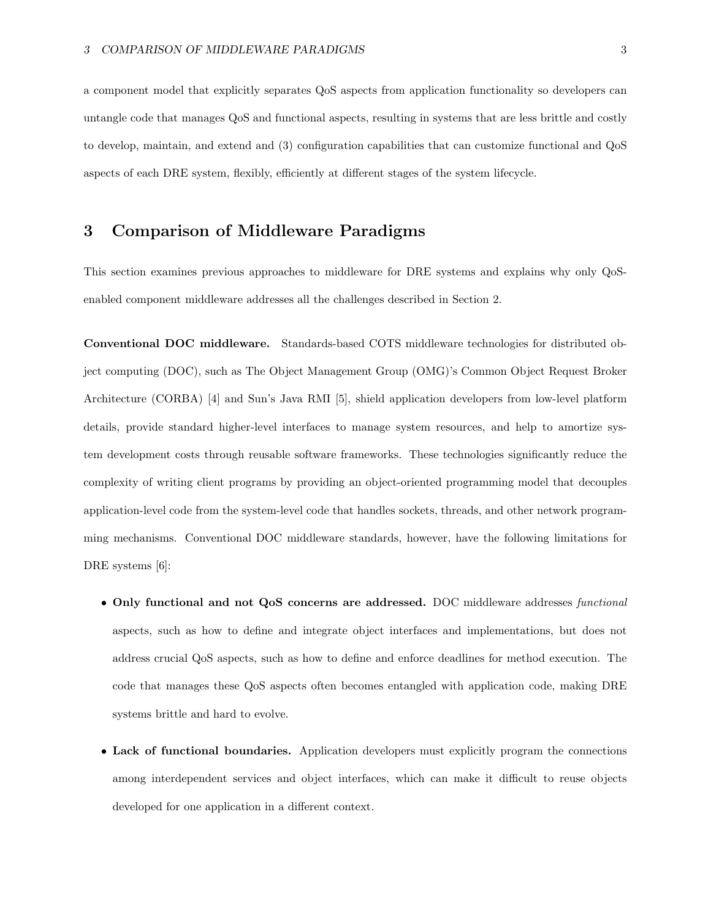a component model that explicitly separates QoS aspects from application functionality so developers can untangle code that manages QoS and functional aspects, resulting in systems that are less brittle and costly to develop, maintain, and extend and (3) configuration capabilities that can customize functional and QoS aspects of each DRE system, flexibly, efficiently at different stages of the system lifecycle.

## **3 Comparison of Middleware Paradigms**

This section examines previous approaches to middleware for DRE systems and explains why only QoSenabled component middleware addresses all the challenges described in Section 2.

**Conventional DOC middleware.** Standards-based COTS middleware technologies for distributed object computing (DOC), such as The Object Management Group (OMG)'s Common Object Request Broker Architecture (CORBA) [4] and Sun's Java RMI [5], shield application developers from low-level platform details, provide standard higher-level interfaces to manage system resources, and help to amortize system development costs through reusable software frameworks. These technologies significantly reduce the complexity of writing client programs by providing an object-oriented programming model that decouples application-level code from the system-level code that handles sockets, threads, and other network programming mechanisms. Conventional DOC middleware standards, however, have the following limitations for DRE systems [6]:

- **Only functional and not QoS concerns are addressed.** DOC middleware addresses *functional* aspects, such as how to define and integrate object interfaces and implementations, but does not address crucial QoS aspects, such as how to define and enforce deadlines for method execution. The code that manages these QoS aspects often becomes entangled with application code, making DRE systems brittle and hard to evolve.
- **Lack of functional boundaries.** Application developers must explicitly program the connections among interdependent services and object interfaces, which can make it difficult to reuse objects developed for one application in a different context.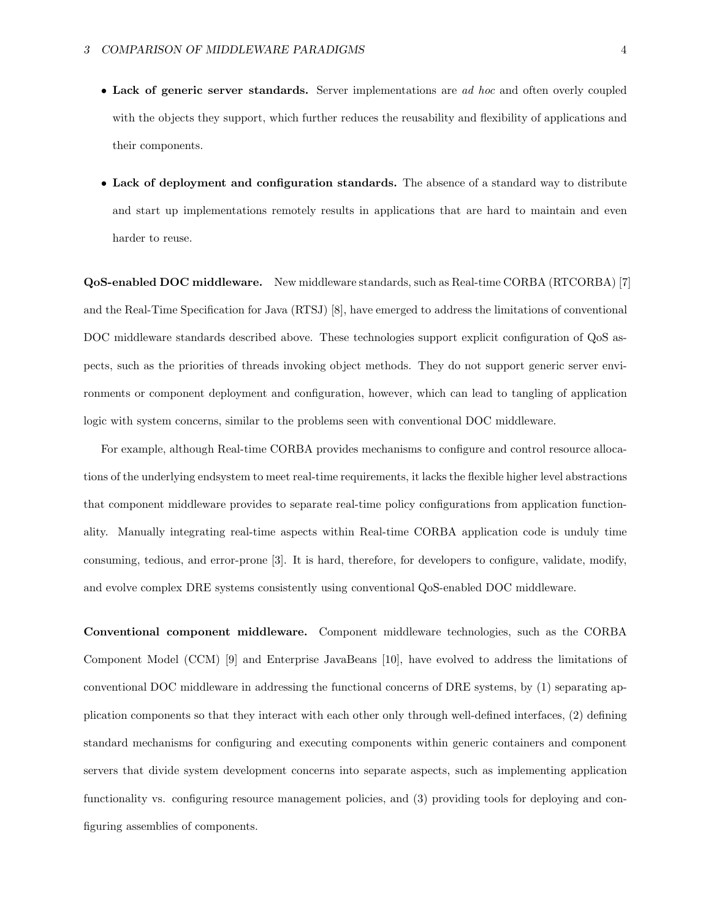- **Lack of generic server standards.** Server implementations are *ad hoc* and often overly coupled with the objects they support, which further reduces the reusability and flexibility of applications and their components.
- **Lack of deployment and configuration standards.** The absence of a standard way to distribute and start up implementations remotely results in applications that are hard to maintain and even harder to reuse.

**QoS-enabled DOC middleware.** New middleware standards, such as Real-time CORBA (RTCORBA) [7] and the Real-Time Specification for Java (RTSJ) [8], have emerged to address the limitations of conventional DOC middleware standards described above. These technologies support explicit configuration of QoS aspects, such as the priorities of threads invoking object methods. They do not support generic server environments or component deployment and configuration, however, which can lead to tangling of application logic with system concerns, similar to the problems seen with conventional DOC middleware.

For example, although Real-time CORBA provides mechanisms to configure and control resource allocations of the underlying endsystem to meet real-time requirements, it lacks the flexible higher level abstractions that component middleware provides to separate real-time policy configurations from application functionality. Manually integrating real-time aspects within Real-time CORBA application code is unduly time consuming, tedious, and error-prone [3]. It is hard, therefore, for developers to configure, validate, modify, and evolve complex DRE systems consistently using conventional QoS-enabled DOC middleware.

**Conventional component middleware.** Component middleware technologies, such as the CORBA Component Model (CCM) [9] and Enterprise JavaBeans [10], have evolved to address the limitations of conventional DOC middleware in addressing the functional concerns of DRE systems, by (1) separating application components so that they interact with each other only through well-defined interfaces, (2) defining standard mechanisms for configuring and executing components within generic containers and component servers that divide system development concerns into separate aspects, such as implementing application functionality vs. configuring resource management policies, and (3) providing tools for deploying and configuring assemblies of components.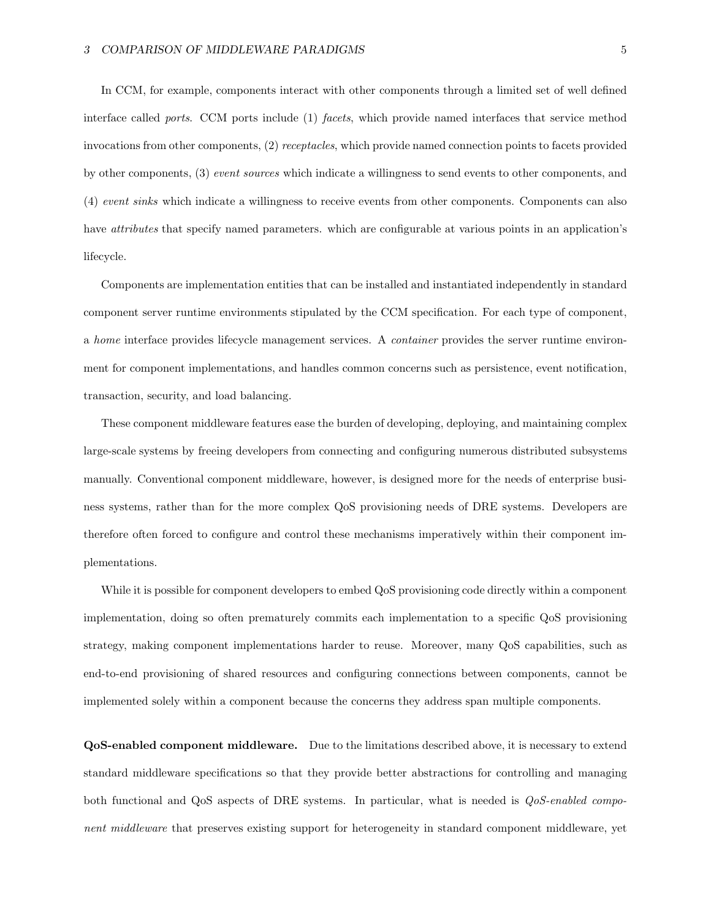#### *3 COMPARISON OF MIDDLEWARE PARADIGMS* 5

In CCM, for example, components interact with other components through a limited set of well defined interface called *ports*. CCM ports include (1) *facets*, which provide named interfaces that service method invocations from other components, (2) *receptacles*, which provide named connection points to facets provided by other components, (3) *event sources* which indicate a willingness to send events to other components, and (4) *event sinks* which indicate a willingness to receive events from other components. Components can also have *attributes* that specify named parameters. which are configurable at various points in an application's lifecycle.

Components are implementation entities that can be installed and instantiated independently in standard component server runtime environments stipulated by the CCM specification. For each type of component, a *home* interface provides lifecycle management services. A *container* provides the server runtime environment for component implementations, and handles common concerns such as persistence, event notification, transaction, security, and load balancing.

These component middleware features ease the burden of developing, deploying, and maintaining complex large-scale systems by freeing developers from connecting and configuring numerous distributed subsystems manually. Conventional component middleware, however, is designed more for the needs of enterprise business systems, rather than for the more complex QoS provisioning needs of DRE systems. Developers are therefore often forced to configure and control these mechanisms imperatively within their component implementations.

While it is possible for component developers to embed QoS provisioning code directly within a component implementation, doing so often prematurely commits each implementation to a specific QoS provisioning strategy, making component implementations harder to reuse. Moreover, many QoS capabilities, such as end-to-end provisioning of shared resources and configuring connections between components, cannot be implemented solely within a component because the concerns they address span multiple components.

**QoS-enabled component middleware.** Due to the limitations described above, it is necessary to extend standard middleware specifications so that they provide better abstractions for controlling and managing both functional and QoS aspects of DRE systems. In particular, what is needed is *QoS-enabled component middleware* that preserves existing support for heterogeneity in standard component middleware, yet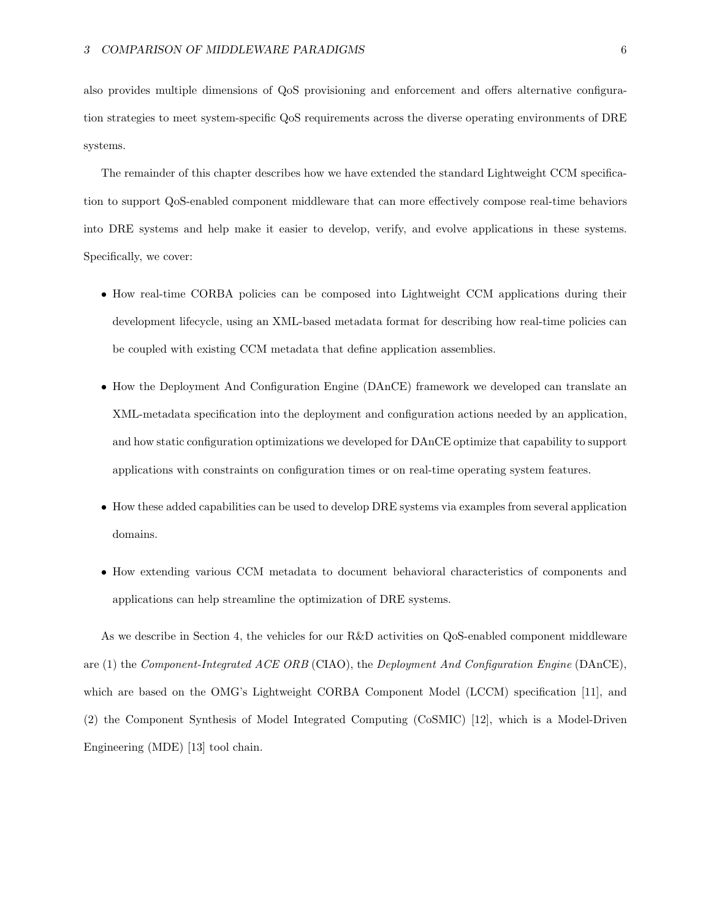also provides multiple dimensions of QoS provisioning and enforcement and offers alternative configuration strategies to meet system-specific QoS requirements across the diverse operating environments of DRE systems.

The remainder of this chapter describes how we have extended the standard Lightweight CCM specification to support QoS-enabled component middleware that can more effectively compose real-time behaviors into DRE systems and help make it easier to develop, verify, and evolve applications in these systems. Specifically, we cover:

- How real-time CORBA policies can be composed into Lightweight CCM applications during their development lifecycle, using an XML-based metadata format for describing how real-time policies can be coupled with existing CCM metadata that define application assemblies.
- How the Deployment And Configuration Engine (DAnCE) framework we developed can translate an XML-metadata specification into the deployment and configuration actions needed by an application, and how static configuration optimizations we developed for DAnCE optimize that capability to support applications with constraints on configuration times or on real-time operating system features.
- How these added capabilities can be used to develop DRE systems via examples from several application domains.
- How extending various CCM metadata to document behavioral characteristics of components and applications can help streamline the optimization of DRE systems.

As we describe in Section 4, the vehicles for our R&D activities on QoS-enabled component middleware are (1) the *Component-Integrated ACE ORB* (CIAO), the *Deployment And Configuration Engine* (DAnCE), which are based on the OMG's Lightweight CORBA Component Model (LCCM) specification [11], and (2) the Component Synthesis of Model Integrated Computing (CoSMIC) [12], which is a Model-Driven Engineering (MDE) [13] tool chain.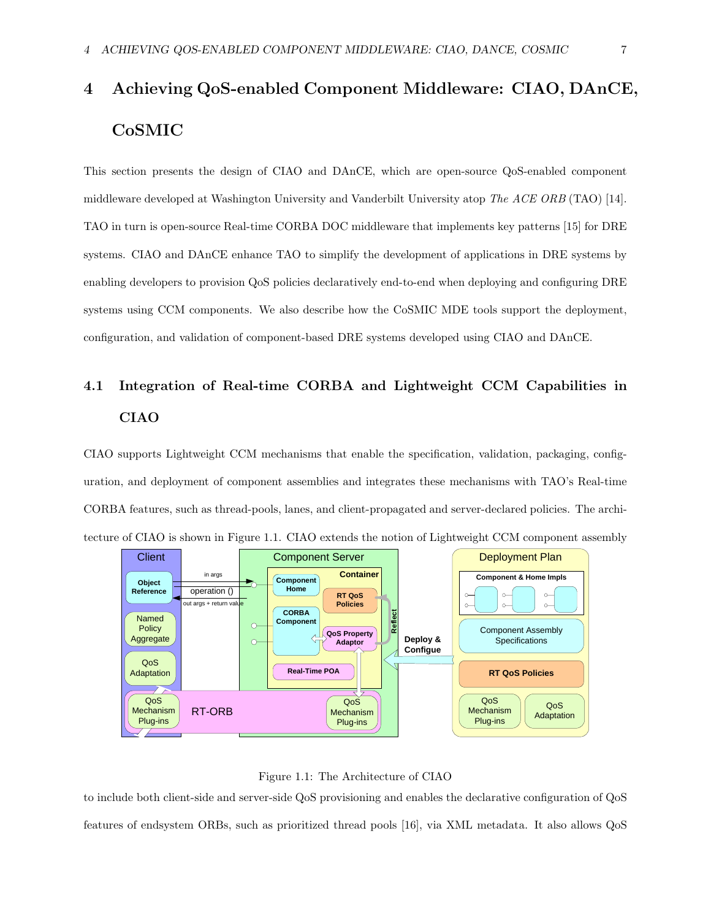## **4 Achieving QoS-enabled Component Middleware: CIAO, DAnCE, CoSMIC**

This section presents the design of CIAO and DAnCE, which are open-source QoS-enabled component middleware developed at Washington University and Vanderbilt University atop *The ACE ORB* (TAO) [14]. TAO in turn is open-source Real-time CORBA DOC middleware that implements key patterns [15] for DRE systems. CIAO and DAnCE enhance TAO to simplify the development of applications in DRE systems by enabling developers to provision QoS policies declaratively end-to-end when deploying and configuring DRE systems using CCM components. We also describe how the CoSMIC MDE tools support the deployment, configuration, and validation of component-based DRE systems developed using CIAO and DAnCE.

## **4.1 Integration of Real-time CORBA and Lightweight CCM Capabilities in CIAO**

CIAO supports Lightweight CCM mechanisms that enable the specification, validation, packaging, configuration, and deployment of component assemblies and integrates these mechanisms with TAO's Real-time CORBA features, such as thread-pools, lanes, and client-propagated and server-declared policies. The architecture of CIAO is shown in Figure 1.1. CIAO extends the notion of Lightweight CCM component assembly



Figure 1.1: The Architecture of CIAO

to include both client-side and server-side QoS provisioning and enables the declarative configuration of QoS features of endsystem ORBs, such as prioritized thread pools [16], via XML metadata. It also allows QoS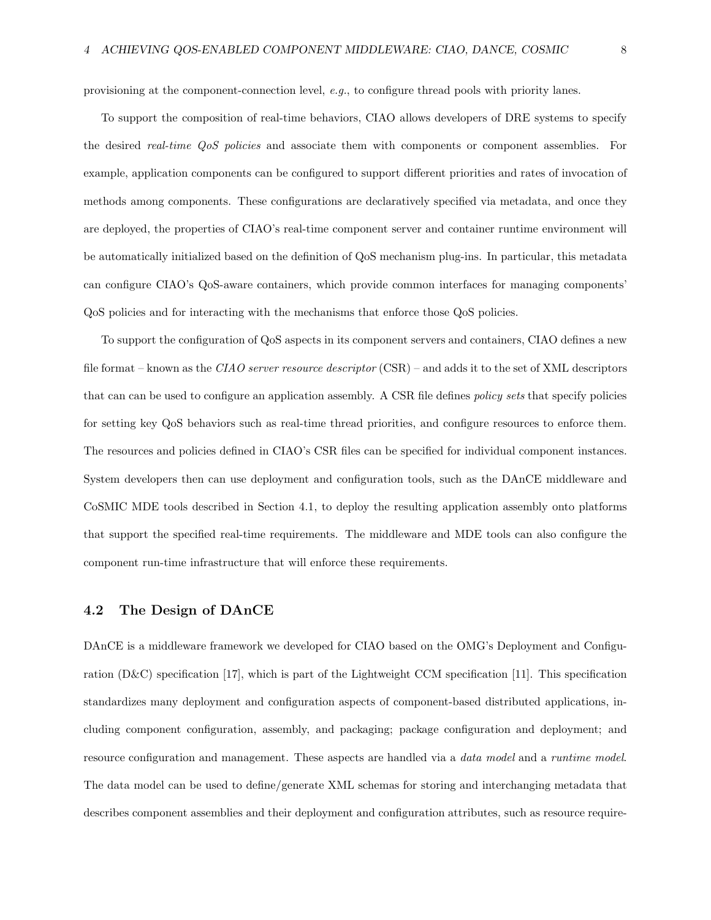provisioning at the component-connection level, *e.g.*, to configure thread pools with priority lanes.

To support the composition of real-time behaviors, CIAO allows developers of DRE systems to specify the desired *real-time QoS policies* and associate them with components or component assemblies. For example, application components can be configured to support different priorities and rates of invocation of methods among components. These configurations are declaratively specified via metadata, and once they are deployed, the properties of CIAO's real-time component server and container runtime environment will be automatically initialized based on the definition of QoS mechanism plug-ins. In particular, this metadata can configure CIAO's QoS-aware containers, which provide common interfaces for managing components' QoS policies and for interacting with the mechanisms that enforce those QoS policies.

To support the configuration of QoS aspects in its component servers and containers, CIAO defines a new file format – known as the *CIAO server resource descriptor* (CSR) – and adds it to the set of XML descriptors that can can be used to configure an application assembly. A CSR file defines *policy sets* that specify policies for setting key QoS behaviors such as real-time thread priorities, and configure resources to enforce them. The resources and policies defined in CIAO's CSR files can be specified for individual component instances. System developers then can use deployment and configuration tools, such as the DAnCE middleware and CoSMIC MDE tools described in Section 4.1, to deploy the resulting application assembly onto platforms that support the specified real-time requirements. The middleware and MDE tools can also configure the component run-time infrastructure that will enforce these requirements.

#### **4.2 The Design of DAnCE**

DAnCE is a middleware framework we developed for CIAO based on the OMG's Deployment and Configuration (D&C) specification [17], which is part of the Lightweight CCM specification [11]. This specification standardizes many deployment and configuration aspects of component-based distributed applications, including component configuration, assembly, and packaging; package configuration and deployment; and resource configuration and management. These aspects are handled via a *data model* and a *runtime model*. The data model can be used to define/generate XML schemas for storing and interchanging metadata that describes component assemblies and their deployment and configuration attributes, such as resource require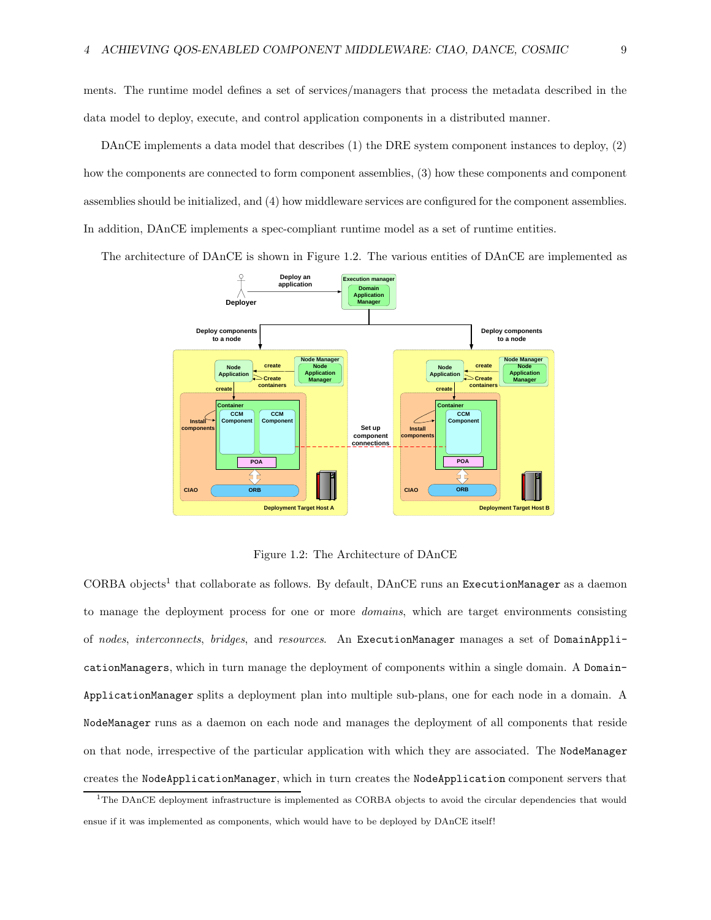ments. The runtime model defines a set of services/managers that process the metadata described in the data model to deploy, execute, and control application components in a distributed manner.

DAnCE implements a data model that describes (1) the DRE system component instances to deploy, (2) how the components are connected to form component assemblies, (3) how these components and component assemblies should be initialized, and (4) how middleware services are configured for the component assemblies. In addition, DAnCE implements a spec-compliant runtime model as a set of runtime entities.

The architecture of DAnCE is shown in Figure 1.2. The various entities of DAnCE are implemented as



Figure 1.2: The Architecture of DAnCE

 $CORBA$  objects<sup>1</sup> that collaborate as follows. By default,  $DAnCE$  runs an ExecutionManager as a daemon to manage the deployment process for one or more *domains*, which are target environments consisting of *nodes*, *interconnects*, *bridges*, and *resources*. An ExecutionManager manages a set of DomainApplicationManagers, which in turn manage the deployment of components within a single domain. A Domain-ApplicationManager splits a deployment plan into multiple sub-plans, one for each node in a domain. A NodeManager runs as a daemon on each node and manages the deployment of all components that reside on that node, irrespective of the particular application with which they are associated. The NodeManager creates the NodeApplicationManager, which in turn creates the NodeApplication component servers that

<sup>&</sup>lt;sup>1</sup>The DAnCE deployment infrastructure is implemented as CORBA objects to avoid the circular dependencies that would ensue if it was implemented as components, which would have to be deployed by DAnCE itself!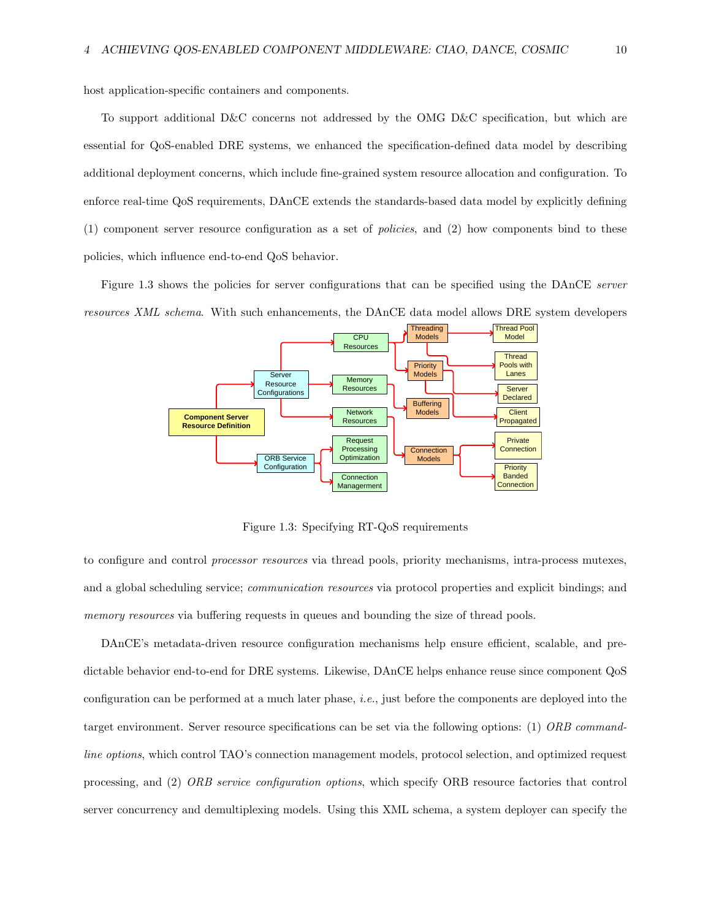host application-specific containers and components.

To support additional D&C concerns not addressed by the OMG D&C specification, but which are essential for QoS-enabled DRE systems, we enhanced the specification-defined data model by describing additional deployment concerns, which include fine-grained system resource allocation and configuration. To enforce real-time QoS requirements, DAnCE extends the standards-based data model by explicitly defining (1) component server resource configuration as a set of *policies*, and (2) how components bind to these policies, which influence end-to-end QoS behavior.

Figure 1.3 shows the policies for server configurations that can be specified using the DAnCE *server resources XML schema*. With such enhancements, the DAnCE data model allows DRE system developers



Figure 1.3: Specifying RT-QoS requirements

to configure and control *processor resources* via thread pools, priority mechanisms, intra-process mutexes, and a global scheduling service; *communication resources* via protocol properties and explicit bindings; and *memory resources* via buffering requests in queues and bounding the size of thread pools.

DAnCE's metadata-driven resource configuration mechanisms help ensure efficient, scalable, and predictable behavior end-to-end for DRE systems. Likewise, DAnCE helps enhance reuse since component QoS configuration can be performed at a much later phase, *i.e.*, just before the components are deployed into the target environment. Server resource specifications can be set via the following options: (1) *ORB commandline options*, which control TAO's connection management models, protocol selection, and optimized request processing, and (2) *ORB service configuration options*, which specify ORB resource factories that control server concurrency and demultiplexing models. Using this XML schema, a system deployer can specify the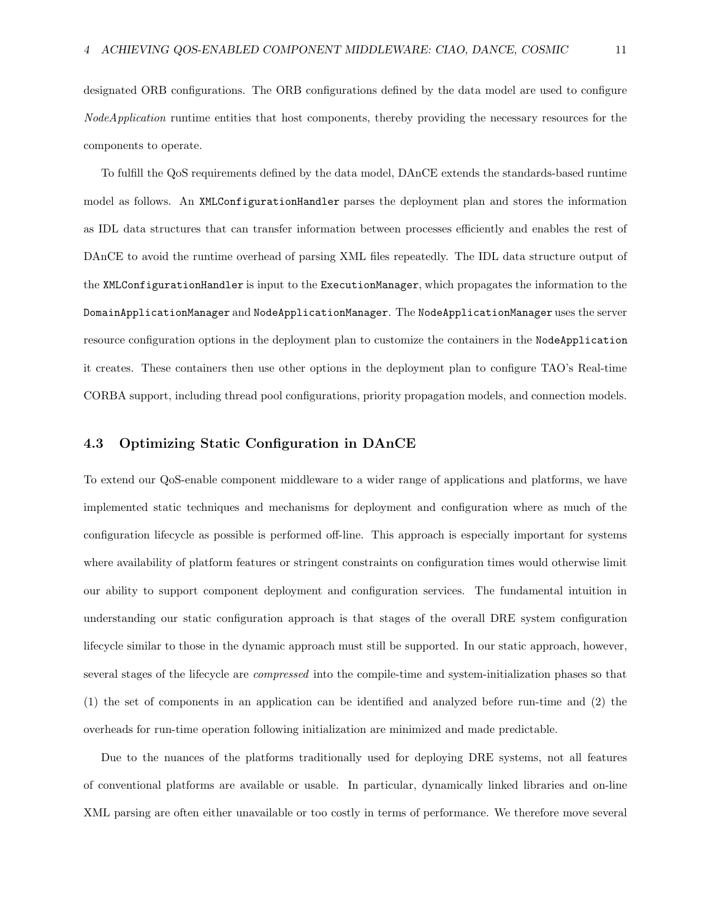designated ORB configurations. The ORB configurations defined by the data model are used to configure *NodeApplication* runtime entities that host components, thereby providing the necessary resources for the components to operate.

To fulfill the QoS requirements defined by the data model, DAnCE extends the standards-based runtime model as follows. An XMLConfigurationHandler parses the deployment plan and stores the information as IDL data structures that can transfer information between processes efficiently and enables the rest of DAnCE to avoid the runtime overhead of parsing XML files repeatedly. The IDL data structure output of the XMLConfigurationHandler is input to the ExecutionManager, which propagates the information to the DomainApplicationManager and NodeApplicationManager. The NodeApplicationManager uses the server resource configuration options in the deployment plan to customize the containers in the NodeApplication it creates. These containers then use other options in the deployment plan to configure TAO's Real-time CORBA support, including thread pool configurations, priority propagation models, and connection models.

## **4.3 Optimizing Static Configuration in DAnCE**

To extend our QoS-enable component middleware to a wider range of applications and platforms, we have implemented static techniques and mechanisms for deployment and configuration where as much of the configuration lifecycle as possible is performed off-line. This approach is especially important for systems where availability of platform features or stringent constraints on configuration times would otherwise limit our ability to support component deployment and configuration services. The fundamental intuition in understanding our static configuration approach is that stages of the overall DRE system configuration lifecycle similar to those in the dynamic approach must still be supported. In our static approach, however, several stages of the lifecycle are *compressed* into the compile-time and system-initialization phases so that (1) the set of components in an application can be identified and analyzed before run-time and (2) the overheads for run-time operation following initialization are minimized and made predictable.

Due to the nuances of the platforms traditionally used for deploying DRE systems, not all features of conventional platforms are available or usable. In particular, dynamically linked libraries and on-line XML parsing are often either unavailable or too costly in terms of performance. We therefore move several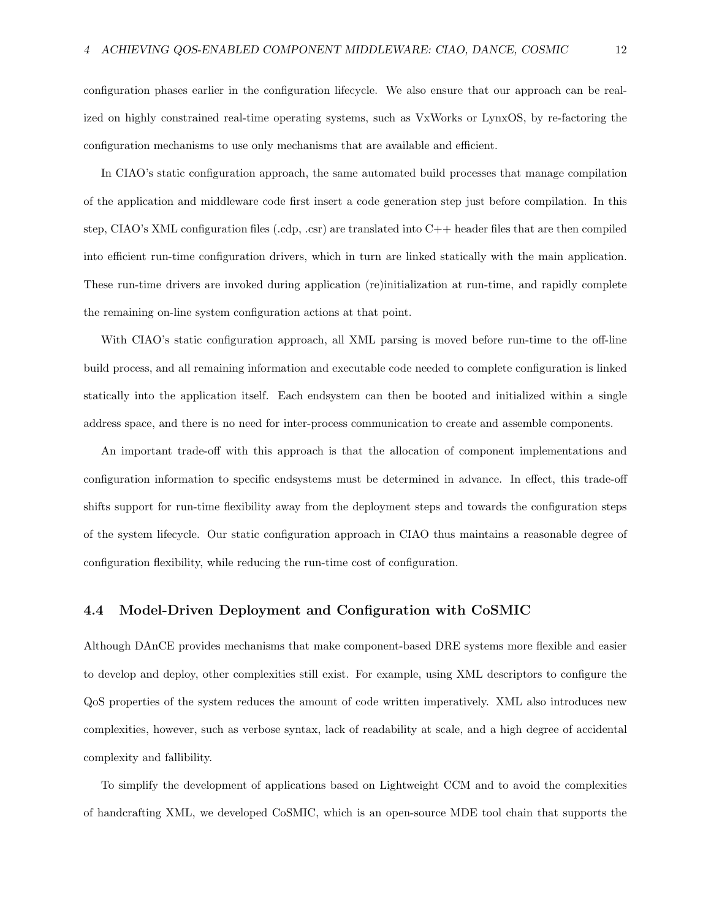configuration phases earlier in the configuration lifecycle. We also ensure that our approach can be realized on highly constrained real-time operating systems, such as VxWorks or LynxOS, by re-factoring the configuration mechanisms to use only mechanisms that are available and efficient.

In CIAO's static configuration approach, the same automated build processes that manage compilation of the application and middleware code first insert a code generation step just before compilation. In this step, CIAO's XML configuration files (.cdp, .csr) are translated into C++ header files that are then compiled into efficient run-time configuration drivers, which in turn are linked statically with the main application. These run-time drivers are invoked during application (re)initialization at run-time, and rapidly complete the remaining on-line system configuration actions at that point.

With CIAO's static configuration approach, all XML parsing is moved before run-time to the off-line build process, and all remaining information and executable code needed to complete configuration is linked statically into the application itself. Each endsystem can then be booted and initialized within a single address space, and there is no need for inter-process communication to create and assemble components.

An important trade-off with this approach is that the allocation of component implementations and configuration information to specific endsystems must be determined in advance. In effect, this trade-off shifts support for run-time flexibility away from the deployment steps and towards the configuration steps of the system lifecycle. Our static configuration approach in CIAO thus maintains a reasonable degree of configuration flexibility, while reducing the run-time cost of configuration.

### **4.4 Model-Driven Deployment and Configuration with CoSMIC**

Although DAnCE provides mechanisms that make component-based DRE systems more flexible and easier to develop and deploy, other complexities still exist. For example, using XML descriptors to configure the QoS properties of the system reduces the amount of code written imperatively. XML also introduces new complexities, however, such as verbose syntax, lack of readability at scale, and a high degree of accidental complexity and fallibility.

To simplify the development of applications based on Lightweight CCM and to avoid the complexities of handcrafting XML, we developed CoSMIC, which is an open-source MDE tool chain that supports the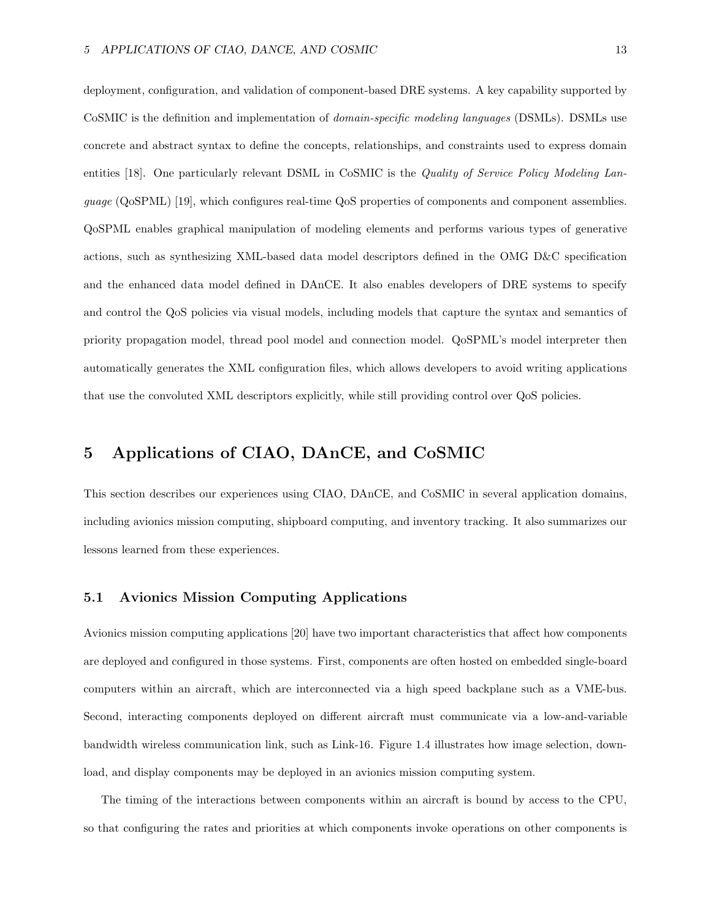deployment, configuration, and validation of component-based DRE systems. A key capability supported by CoSMIC is the definition and implementation of *domain-specific modeling languages* (DSMLs). DSMLs use concrete and abstract syntax to define the concepts, relationships, and constraints used to express domain entities [18]. One particularly relevant DSML in CoSMIC is the *Quality of Service Policy Modeling Language* (QoSPML) [19], which configures real-time QoS properties of components and component assemblies. QoSPML enables graphical manipulation of modeling elements and performs various types of generative actions, such as synthesizing XML-based data model descriptors defined in the OMG D&C specification and the enhanced data model defined in DAnCE. It also enables developers of DRE systems to specify and control the QoS policies via visual models, including models that capture the syntax and semantics of priority propagation model, thread pool model and connection model. QoSPML's model interpreter then automatically generates the XML configuration files, which allows developers to avoid writing applications that use the convoluted XML descriptors explicitly, while still providing control over QoS policies.

## **5 Applications of CIAO, DAnCE, and CoSMIC**

This section describes our experiences using CIAO, DAnCE, and CoSMIC in several application domains, including avionics mission computing, shipboard computing, and inventory tracking. It also summarizes our lessons learned from these experiences.

#### **5.1 Avionics Mission Computing Applications**

Avionics mission computing applications [20] have two important characteristics that affect how components are deployed and configured in those systems. First, components are often hosted on embedded single-board computers within an aircraft, which are interconnected via a high speed backplane such as a VME-bus. Second, interacting components deployed on different aircraft must communicate via a low-and-variable bandwidth wireless communication link, such as Link-16. Figure 1.4 illustrates how image selection, download, and display components may be deployed in an avionics mission computing system.

The timing of the interactions between components within an aircraft is bound by access to the CPU, so that configuring the rates and priorities at which components invoke operations on other components is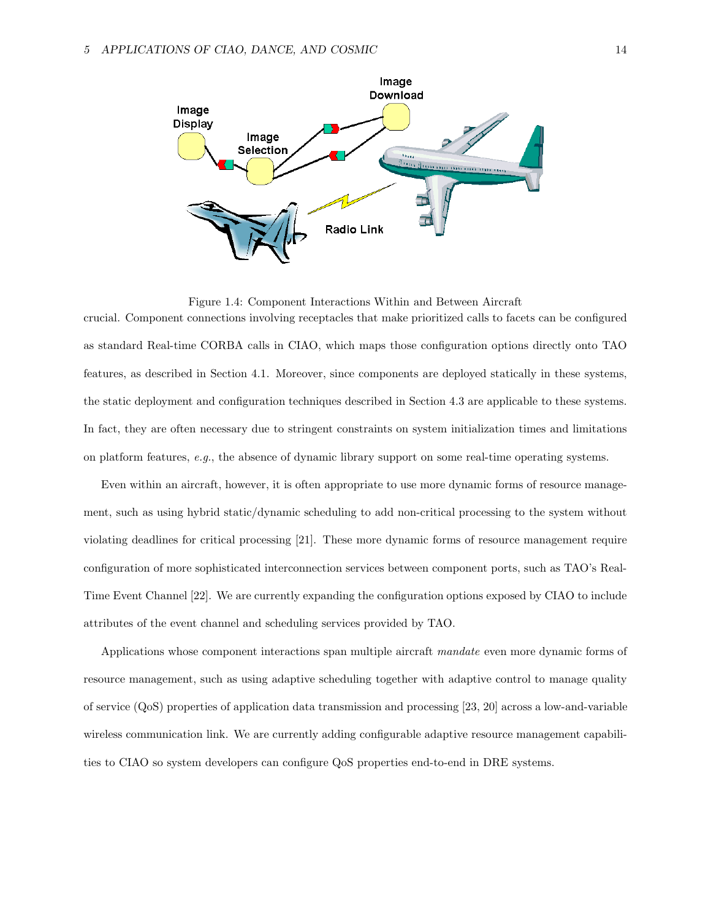

Figure 1.4: Component Interactions Within and Between Aircraft

crucial. Component connections involving receptacles that make prioritized calls to facets can be configured as standard Real-time CORBA calls in CIAO, which maps those configuration options directly onto TAO features, as described in Section 4.1. Moreover, since components are deployed statically in these systems, the static deployment and configuration techniques described in Section 4.3 are applicable to these systems. In fact, they are often necessary due to stringent constraints on system initialization times and limitations on platform features, *e.g.*, the absence of dynamic library support on some real-time operating systems.

Even within an aircraft, however, it is often appropriate to use more dynamic forms of resource management, such as using hybrid static/dynamic scheduling to add non-critical processing to the system without violating deadlines for critical processing [21]. These more dynamic forms of resource management require configuration of more sophisticated interconnection services between component ports, such as TAO's Real-Time Event Channel [22]. We are currently expanding the configuration options exposed by CIAO to include attributes of the event channel and scheduling services provided by TAO.

Applications whose component interactions span multiple aircraft *mandate* even more dynamic forms of resource management, such as using adaptive scheduling together with adaptive control to manage quality of service (QoS) properties of application data transmission and processing [23, 20] across a low-and-variable wireless communication link. We are currently adding configurable adaptive resource management capabilities to CIAO so system developers can configure QoS properties end-to-end in DRE systems.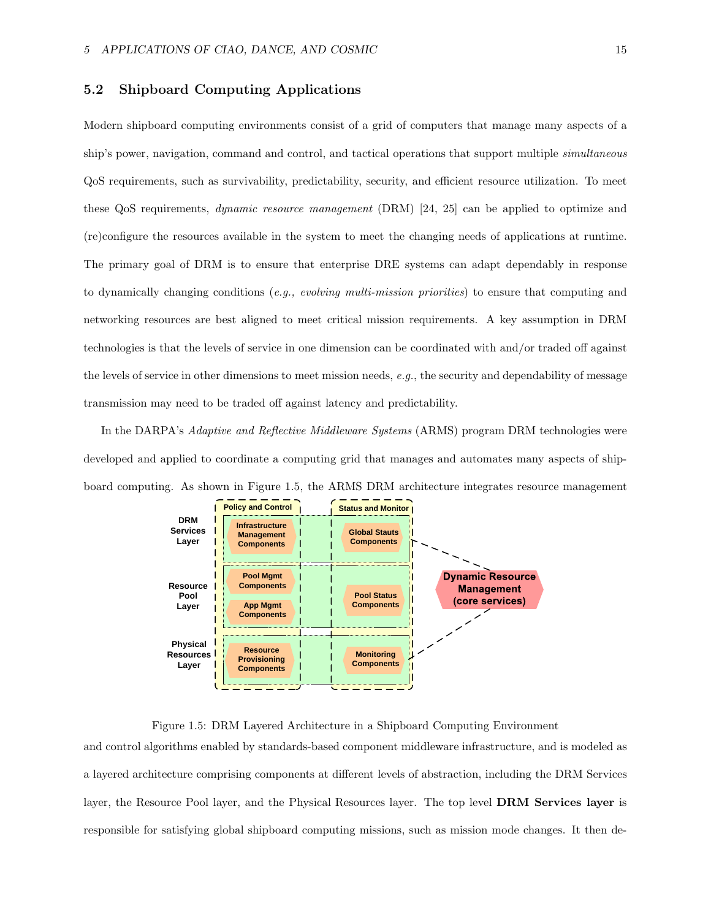### **5.2 Shipboard Computing Applications**

Modern shipboard computing environments consist of a grid of computers that manage many aspects of a ship's power, navigation, command and control, and tactical operations that support multiple *simultaneous* QoS requirements, such as survivability, predictability, security, and efficient resource utilization. To meet these QoS requirements, *dynamic resource management* (DRM) [24, 25] can be applied to optimize and (re)configure the resources available in the system to meet the changing needs of applications at runtime. The primary goal of DRM is to ensure that enterprise DRE systems can adapt dependably in response to dynamically changing conditions (*e.g., evolving multi-mission priorities*) to ensure that computing and networking resources are best aligned to meet critical mission requirements. A key assumption in DRM technologies is that the levels of service in one dimension can be coordinated with and/or traded off against the levels of service in other dimensions to meet mission needs, *e.g.*, the security and dependability of message transmission may need to be traded off against latency and predictability.

In the DARPA's *Adaptive and Reflective Middleware Systems* (ARMS) program DRM technologies were developed and applied to coordinate a computing grid that manages and automates many aspects of shipboard computing. As shown in Figure 1.5, the ARMS DRM architecture integrates resource management



Figure 1.5: DRM Layered Architecture in a Shipboard Computing Environment

and control algorithms enabled by standards-based component middleware infrastructure, and is modeled as a layered architecture comprising components at different levels of abstraction, including the DRM Services layer, the Resource Pool layer, and the Physical Resources layer. The top level **DRM Services layer** is responsible for satisfying global shipboard computing missions, such as mission mode changes. It then de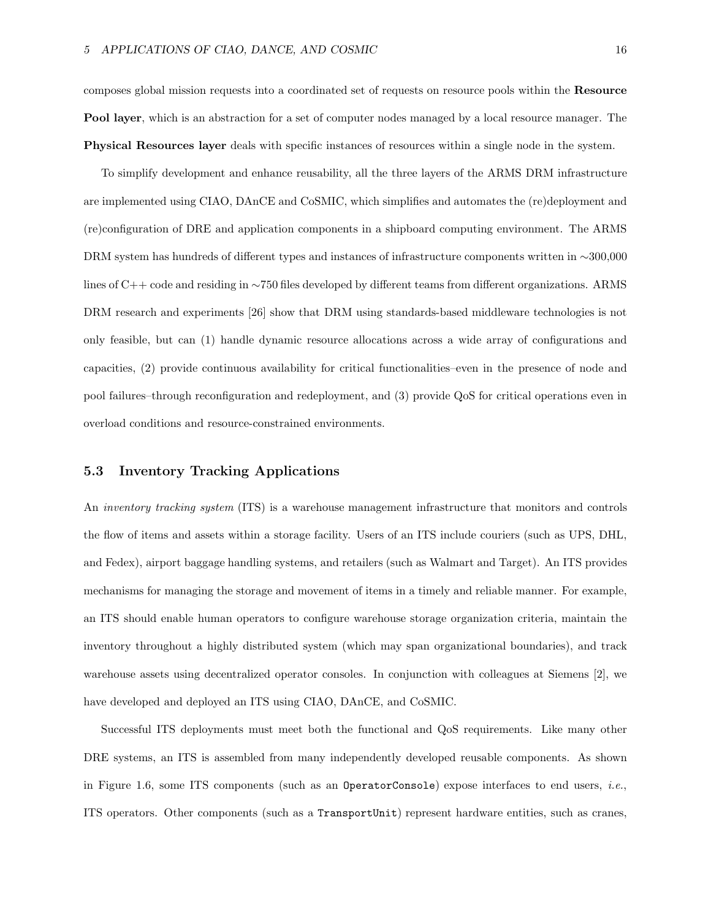composes global mission requests into a coordinated set of requests on resource pools within the **Resource Pool layer**, which is an abstraction for a set of computer nodes managed by a local resource manager. The **Physical Resources layer** deals with specific instances of resources within a single node in the system.

To simplify development and enhance reusability, all the three layers of the ARMS DRM infrastructure are implemented using CIAO, DAnCE and CoSMIC, which simplifies and automates the (re)deployment and (re)configuration of DRE and application components in a shipboard computing environment. The ARMS DRM system has hundreds of different types and instances of infrastructure components written in ∼300,000 lines of C++ code and residing in ∼750 files developed by different teams from different organizations. ARMS DRM research and experiments [26] show that DRM using standards-based middleware technologies is not only feasible, but can (1) handle dynamic resource allocations across a wide array of configurations and capacities, (2) provide continuous availability for critical functionalities–even in the presence of node and pool failures–through reconfiguration and redeployment, and (3) provide QoS for critical operations even in overload conditions and resource-constrained environments.

#### **5.3 Inventory Tracking Applications**

An *inventory tracking system* (ITS) is a warehouse management infrastructure that monitors and controls the flow of items and assets within a storage facility. Users of an ITS include couriers (such as UPS, DHL, and Fedex), airport baggage handling systems, and retailers (such as Walmart and Target). An ITS provides mechanisms for managing the storage and movement of items in a timely and reliable manner. For example, an ITS should enable human operators to configure warehouse storage organization criteria, maintain the inventory throughout a highly distributed system (which may span organizational boundaries), and track warehouse assets using decentralized operator consoles. In conjunction with colleagues at Siemens [2], we have developed and deployed an ITS using CIAO, DAnCE, and CoSMIC.

Successful ITS deployments must meet both the functional and QoS requirements. Like many other DRE systems, an ITS is assembled from many independently developed reusable components. As shown in Figure 1.6, some ITS components (such as an OperatorConsole) expose interfaces to end users, *i.e.*, ITS operators. Other components (such as a TransportUnit) represent hardware entities, such as cranes,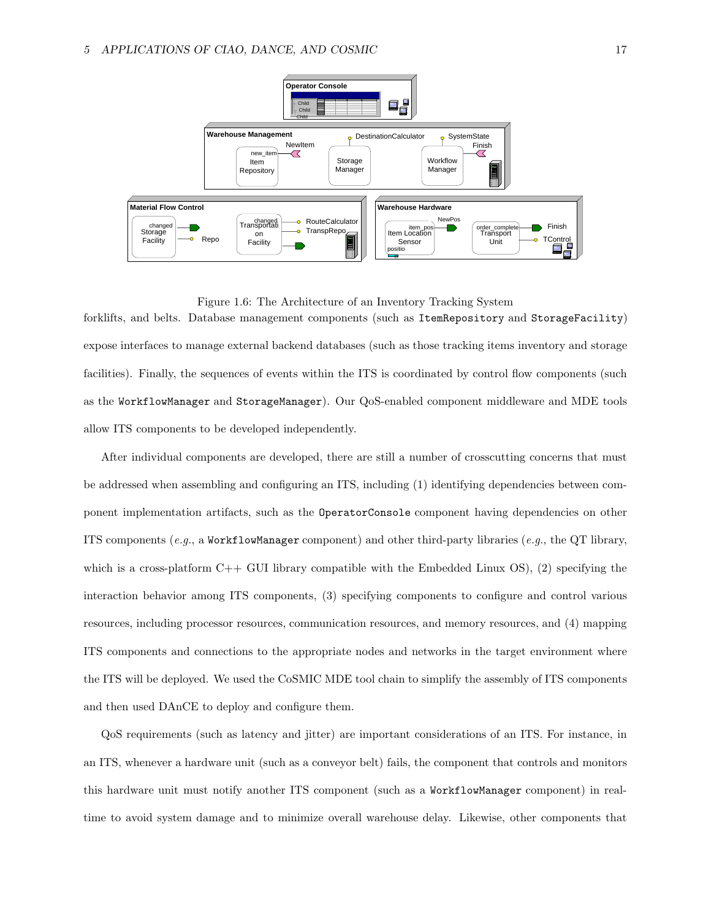

Figure 1.6: The Architecture of an Inventory Tracking System

forklifts, and belts. Database management components (such as ItemRepository and StorageFacility) expose interfaces to manage external backend databases (such as those tracking items inventory and storage facilities). Finally, the sequences of events within the ITS is coordinated by control flow components (such as the WorkflowManager and StorageManager). Our QoS-enabled component middleware and MDE tools allow ITS components to be developed independently.

After individual components are developed, there are still a number of crosscutting concerns that must be addressed when assembling and configuring an ITS, including (1) identifying dependencies between component implementation artifacts, such as the OperatorConsole component having dependencies on other ITS components (*e.g.*, a WorkflowManager component) and other third-party libraries (*e.g.*, the QT library, which is a cross-platform  $C++$  GUI library compatible with the Embedded Linux OS), (2) specifying the interaction behavior among ITS components, (3) specifying components to configure and control various resources, including processor resources, communication resources, and memory resources, and (4) mapping ITS components and connections to the appropriate nodes and networks in the target environment where the ITS will be deployed. We used the CoSMIC MDE tool chain to simplify the assembly of ITS components and then used DAnCE to deploy and configure them.

QoS requirements (such as latency and jitter) are important considerations of an ITS. For instance, in an ITS, whenever a hardware unit (such as a conveyor belt) fails, the component that controls and monitors this hardware unit must notify another ITS component (such as a WorkflowManager component) in realtime to avoid system damage and to minimize overall warehouse delay. Likewise, other components that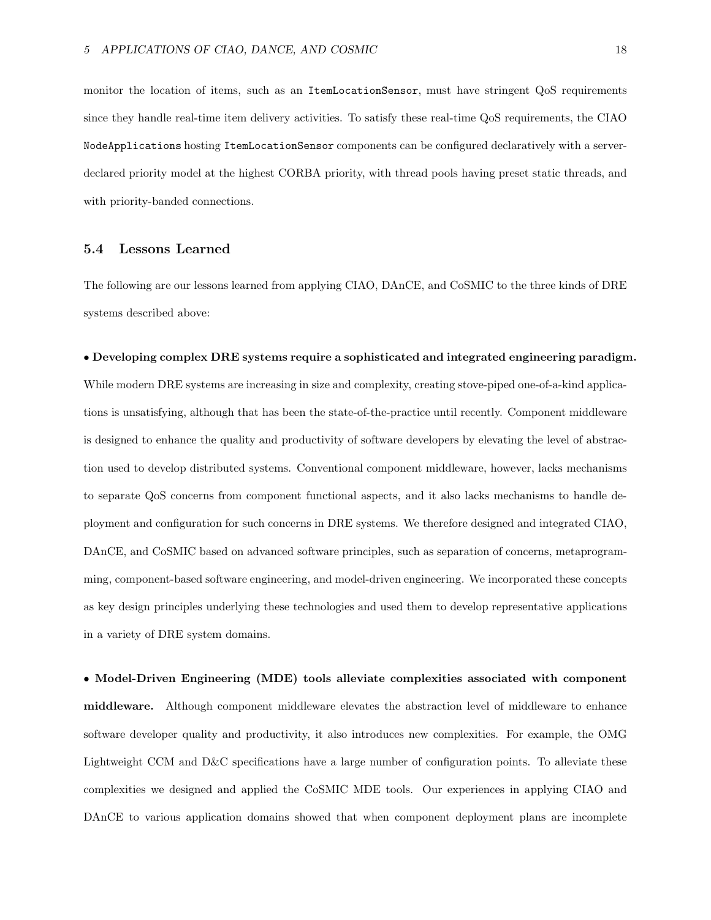monitor the location of items, such as an ItemLocationSensor, must have stringent QoS requirements since they handle real-time item delivery activities. To satisfy these real-time QoS requirements, the CIAO NodeApplications hosting ItemLocationSensor components can be configured declaratively with a serverdeclared priority model at the highest CORBA priority, with thread pools having preset static threads, and with priority-banded connections.

#### **5.4 Lessons Learned**

The following are our lessons learned from applying CIAO, DAnCE, and CoSMIC to the three kinds of DRE systems described above:

#### • **Developing complex DRE systems require a sophisticated and integrated engineering paradigm.**

While modern DRE systems are increasing in size and complexity, creating stove-piped one-of-a-kind applications is unsatisfying, although that has been the state-of-the-practice until recently. Component middleware is designed to enhance the quality and productivity of software developers by elevating the level of abstraction used to develop distributed systems. Conventional component middleware, however, lacks mechanisms to separate QoS concerns from component functional aspects, and it also lacks mechanisms to handle deployment and configuration for such concerns in DRE systems. We therefore designed and integrated CIAO, DAnCE, and CoSMIC based on advanced software principles, such as separation of concerns, metaprogramming, component-based software engineering, and model-driven engineering. We incorporated these concepts as key design principles underlying these technologies and used them to develop representative applications in a variety of DRE system domains.

• **Model-Driven Engineering (MDE) tools alleviate complexities associated with component middleware.** Although component middleware elevates the abstraction level of middleware to enhance software developer quality and productivity, it also introduces new complexities. For example, the OMG Lightweight CCM and D&C specifications have a large number of configuration points. To alleviate these complexities we designed and applied the CoSMIC MDE tools. Our experiences in applying CIAO and DAnCE to various application domains showed that when component deployment plans are incomplete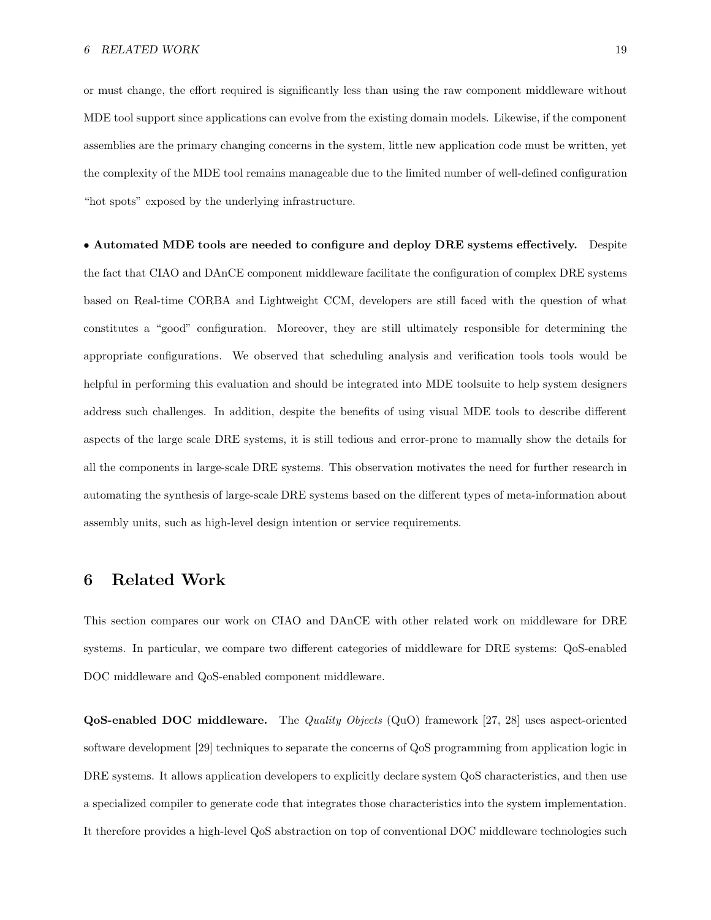or must change, the effort required is significantly less than using the raw component middleware without MDE tool support since applications can evolve from the existing domain models. Likewise, if the component assemblies are the primary changing concerns in the system, little new application code must be written, yet the complexity of the MDE tool remains manageable due to the limited number of well-defined configuration "hot spots" exposed by the underlying infrastructure.

• **Automated MDE tools are needed to configure and deploy DRE systems effectively.** Despite the fact that CIAO and DAnCE component middleware facilitate the configuration of complex DRE systems based on Real-time CORBA and Lightweight CCM, developers are still faced with the question of what constitutes a "good" configuration. Moreover, they are still ultimately responsible for determining the appropriate configurations. We observed that scheduling analysis and verification tools tools would be helpful in performing this evaluation and should be integrated into MDE toolsuite to help system designers address such challenges. In addition, despite the benefits of using visual MDE tools to describe different aspects of the large scale DRE systems, it is still tedious and error-prone to manually show the details for all the components in large-scale DRE systems. This observation motivates the need for further research in automating the synthesis of large-scale DRE systems based on the different types of meta-information about assembly units, such as high-level design intention or service requirements.

## **6 Related Work**

This section compares our work on CIAO and DAnCE with other related work on middleware for DRE systems. In particular, we compare two different categories of middleware for DRE systems: QoS-enabled DOC middleware and QoS-enabled component middleware.

**QoS-enabled DOC middleware.** The *Quality Objects* (QuO) framework [27, 28] uses aspect-oriented software development [29] techniques to separate the concerns of QoS programming from application logic in DRE systems. It allows application developers to explicitly declare system QoS characteristics, and then use a specialized compiler to generate code that integrates those characteristics into the system implementation. It therefore provides a high-level QoS abstraction on top of conventional DOC middleware technologies such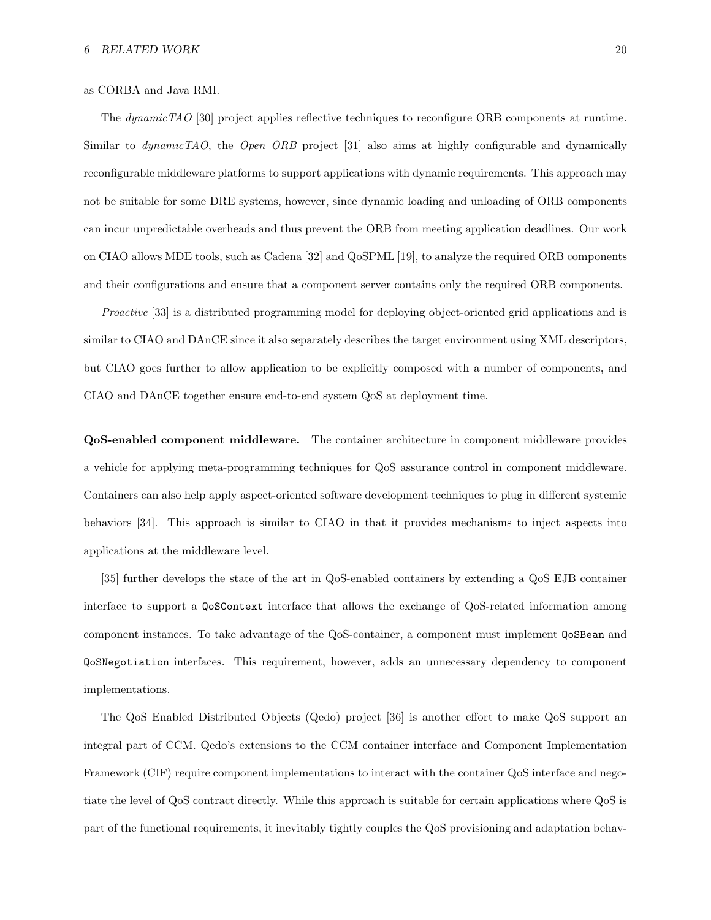#### as CORBA and Java RMI.

The *dynamicTAO* [30] project applies reflective techniques to reconfigure ORB components at runtime. Similar to *dynamicTAO*, the *Open ORB* project [31] also aims at highly configurable and dynamically reconfigurable middleware platforms to support applications with dynamic requirements. This approach may not be suitable for some DRE systems, however, since dynamic loading and unloading of ORB components can incur unpredictable overheads and thus prevent the ORB from meeting application deadlines. Our work on CIAO allows MDE tools, such as Cadena [32] and QoSPML [19], to analyze the required ORB components and their configurations and ensure that a component server contains only the required ORB components.

*Proactive* [33] is a distributed programming model for deploying object-oriented grid applications and is similar to CIAO and DAnCE since it also separately describes the target environment using XML descriptors, but CIAO goes further to allow application to be explicitly composed with a number of components, and CIAO and DAnCE together ensure end-to-end system QoS at deployment time.

**QoS-enabled component middleware.** The container architecture in component middleware provides a vehicle for applying meta-programming techniques for QoS assurance control in component middleware. Containers can also help apply aspect-oriented software development techniques to plug in different systemic behaviors [34]. This approach is similar to CIAO in that it provides mechanisms to inject aspects into applications at the middleware level.

[35] further develops the state of the art in QoS-enabled containers by extending a QoS EJB container interface to support a QoSContext interface that allows the exchange of QoS-related information among component instances. To take advantage of the QoS-container, a component must implement QoSBean and QoSNegotiation interfaces. This requirement, however, adds an unnecessary dependency to component implementations.

The QoS Enabled Distributed Objects (Qedo) project [36] is another effort to make QoS support an integral part of CCM. Qedo's extensions to the CCM container interface and Component Implementation Framework (CIF) require component implementations to interact with the container QoS interface and negotiate the level of QoS contract directly. While this approach is suitable for certain applications where QoS is part of the functional requirements, it inevitably tightly couples the QoS provisioning and adaptation behav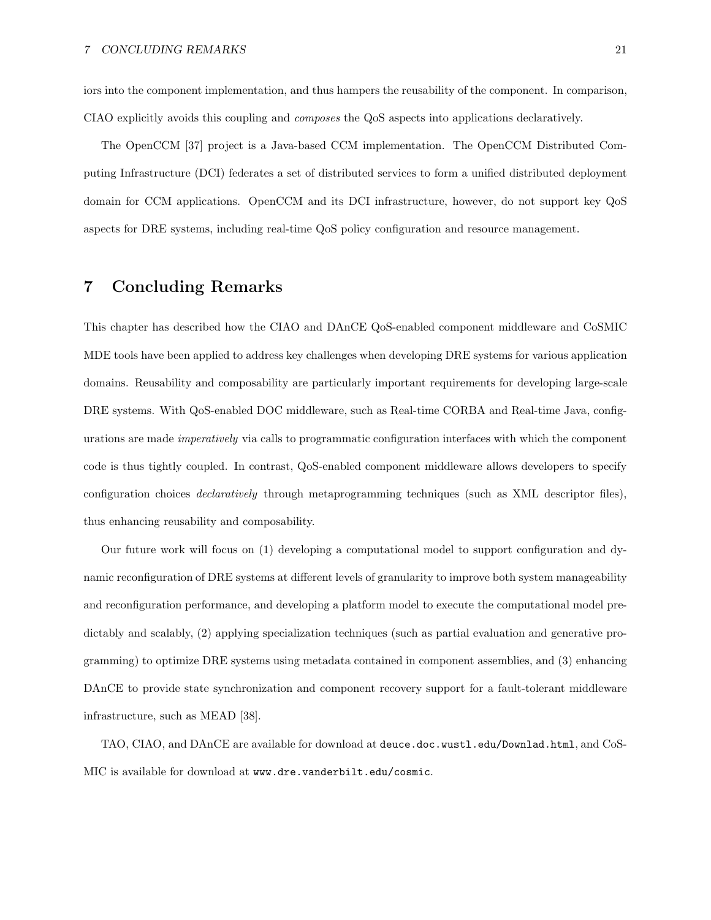iors into the component implementation, and thus hampers the reusability of the component. In comparison, CIAO explicitly avoids this coupling and *composes* the QoS aspects into applications declaratively.

The OpenCCM [37] project is a Java-based CCM implementation. The OpenCCM Distributed Computing Infrastructure (DCI) federates a set of distributed services to form a unified distributed deployment domain for CCM applications. OpenCCM and its DCI infrastructure, however, do not support key QoS aspects for DRE systems, including real-time QoS policy configuration and resource management.

## **7 Concluding Remarks**

This chapter has described how the CIAO and DAnCE QoS-enabled component middleware and CoSMIC MDE tools have been applied to address key challenges when developing DRE systems for various application domains. Reusability and composability are particularly important requirements for developing large-scale DRE systems. With QoS-enabled DOC middleware, such as Real-time CORBA and Real-time Java, configurations are made *imperatively* via calls to programmatic configuration interfaces with which the component code is thus tightly coupled. In contrast, QoS-enabled component middleware allows developers to specify configuration choices *declaratively* through metaprogramming techniques (such as XML descriptor files), thus enhancing reusability and composability.

Our future work will focus on (1) developing a computational model to support configuration and dynamic reconfiguration of DRE systems at different levels of granularity to improve both system manageability and reconfiguration performance, and developing a platform model to execute the computational model predictably and scalably, (2) applying specialization techniques (such as partial evaluation and generative programming) to optimize DRE systems using metadata contained in component assemblies, and (3) enhancing DAnCE to provide state synchronization and component recovery support for a fault-tolerant middleware infrastructure, such as MEAD [38].

TAO, CIAO, and DAnCE are available for download at deuce.doc.wustl.edu/Downlad.html, and CoS-MIC is available for download at www.dre.vanderbilt.edu/cosmic.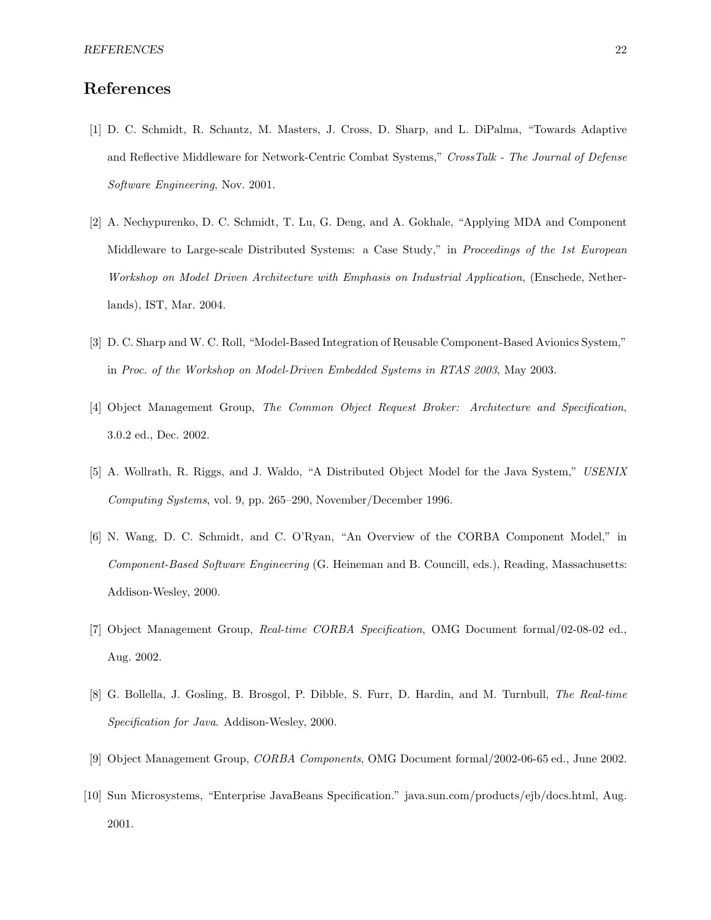## **References**

- [1] D. C. Schmidt, R. Schantz, M. Masters, J. Cross, D. Sharp, and L. DiPalma, "Towards Adaptive and Reflective Middleware for Network-Centric Combat Systems," *CrossTalk - The Journal of Defense Software Engineering*, Nov. 2001.
- [2] A. Nechypurenko, D. C. Schmidt, T. Lu, G. Deng, and A. Gokhale, "Applying MDA and Component Middleware to Large-scale Distributed Systems: a Case Study," in *Proceedings of the 1st European Workshop on Model Driven Architecture with Emphasis on Industrial Application*, (Enschede, Netherlands), IST, Mar. 2004.
- [3] D. C. Sharp and W. C. Roll, "Model-Based Integration of Reusable Component-Based Avionics System," in *Proc. of the Workshop on Model-Driven Embedded Systems in RTAS 2003*, May 2003.
- [4] Object Management Group, *The Common Object Request Broker: Architecture and Specification*, 3.0.2 ed., Dec. 2002.
- [5] A. Wollrath, R. Riggs, and J. Waldo, "A Distributed Object Model for the Java System," *USENIX Computing Systems*, vol. 9, pp. 265–290, November/December 1996.
- [6] N. Wang, D. C. Schmidt, and C. O'Ryan, "An Overview of the CORBA Component Model," in *Component-Based Software Engineering* (G. Heineman and B. Councill, eds.), Reading, Massachusetts: Addison-Wesley, 2000.
- [7] Object Management Group, *Real-time CORBA Specification*, OMG Document formal/02-08-02 ed., Aug. 2002.
- [8] G. Bollella, J. Gosling, B. Brosgol, P. Dibble, S. Furr, D. Hardin, and M. Turnbull, *The Real-time Specification for Java*. Addison-Wesley, 2000.
- [9] Object Management Group, *CORBA Components*, OMG Document formal/2002-06-65 ed., June 2002.
- [10] Sun Microsystems, "Enterprise JavaBeans Specification." java.sun.com/products/ejb/docs.html, Aug. 2001.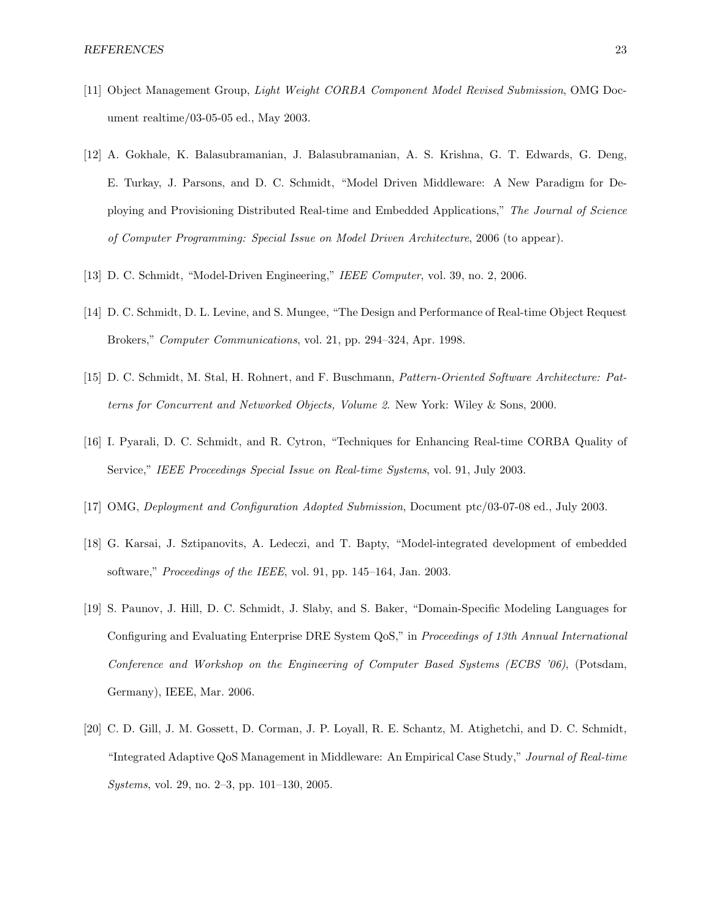- [11] Object Management Group, *Light Weight CORBA Component Model Revised Submission*, OMG Document realtime/03-05-05 ed., May 2003.
- [12] A. Gokhale, K. Balasubramanian, J. Balasubramanian, A. S. Krishna, G. T. Edwards, G. Deng, E. Turkay, J. Parsons, and D. C. Schmidt, "Model Driven Middleware: A New Paradigm for Deploying and Provisioning Distributed Real-time and Embedded Applications," *The Journal of Science of Computer Programming: Special Issue on Model Driven Architecture*, 2006 (to appear).
- [13] D. C. Schmidt, "Model-Driven Engineering," *IEEE Computer*, vol. 39, no. 2, 2006.
- [14] D. C. Schmidt, D. L. Levine, and S. Mungee, "The Design and Performance of Real-time Object Request Brokers," *Computer Communications*, vol. 21, pp. 294–324, Apr. 1998.
- [15] D. C. Schmidt, M. Stal, H. Rohnert, and F. Buschmann, *Pattern-Oriented Software Architecture: Patterns for Concurrent and Networked Objects, Volume 2*. New York: Wiley & Sons, 2000.
- [16] I. Pyarali, D. C. Schmidt, and R. Cytron, "Techniques for Enhancing Real-time CORBA Quality of Service," *IEEE Proceedings Special Issue on Real-time Systems*, vol. 91, July 2003.
- [17] OMG, *Deployment and Configuration Adopted Submission*, Document ptc/03-07-08 ed., July 2003.
- [18] G. Karsai, J. Sztipanovits, A. Ledeczi, and T. Bapty, "Model-integrated development of embedded software," *Proceedings of the IEEE*, vol. 91, pp. 145–164, Jan. 2003.
- [19] S. Paunov, J. Hill, D. C. Schmidt, J. Slaby, and S. Baker, "Domain-Specific Modeling Languages for Configuring and Evaluating Enterprise DRE System QoS," in *Proceedings of 13th Annual International Conference and Workshop on the Engineering of Computer Based Systems (ECBS '06)*, (Potsdam, Germany), IEEE, Mar. 2006.
- [20] C. D. Gill, J. M. Gossett, D. Corman, J. P. Loyall, R. E. Schantz, M. Atighetchi, and D. C. Schmidt, "Integrated Adaptive QoS Management in Middleware: An Empirical Case Study," *Journal of Real-time Systems*, vol. 29, no. 2–3, pp. 101–130, 2005.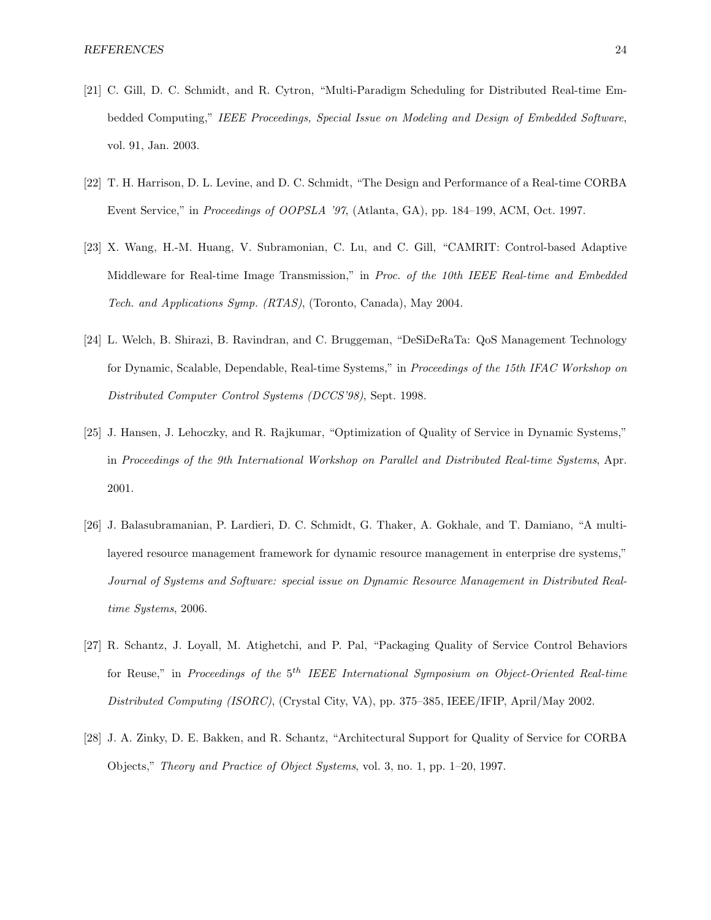- [21] C. Gill, D. C. Schmidt, and R. Cytron, "Multi-Paradigm Scheduling for Distributed Real-time Embedded Computing," *IEEE Proceedings, Special Issue on Modeling and Design of Embedded Software*, vol. 91, Jan. 2003.
- [22] T. H. Harrison, D. L. Levine, and D. C. Schmidt, "The Design and Performance of a Real-time CORBA Event Service," in *Proceedings of OOPSLA '97*, (Atlanta, GA), pp. 184–199, ACM, Oct. 1997.
- [23] X. Wang, H.-M. Huang, V. Subramonian, C. Lu, and C. Gill, "CAMRIT: Control-based Adaptive Middleware for Real-time Image Transmission," in *Proc. of the 10th IEEE Real-time and Embedded Tech. and Applications Symp. (RTAS)*, (Toronto, Canada), May 2004.
- [24] L. Welch, B. Shirazi, B. Ravindran, and C. Bruggeman, "DeSiDeRaTa: QoS Management Technology for Dynamic, Scalable, Dependable, Real-time Systems," in *Proceedings of the 15th IFAC Workshop on Distributed Computer Control Systems (DCCS'98)*, Sept. 1998.
- [25] J. Hansen, J. Lehoczky, and R. Rajkumar, "Optimization of Quality of Service in Dynamic Systems," in *Proceedings of the 9th International Workshop on Parallel and Distributed Real-time Systems*, Apr. 2001.
- [26] J. Balasubramanian, P. Lardieri, D. C. Schmidt, G. Thaker, A. Gokhale, and T. Damiano, "A multilayered resource management framework for dynamic resource management in enterprise dre systems," *Journal of Systems and Software: special issue on Dynamic Resource Management in Distributed Realtime Systems*, 2006.
- [27] R. Schantz, J. Loyall, M. Atighetchi, and P. Pal, "Packaging Quality of Service Control Behaviors for Reuse," in *Proceedings of the* 5*th IEEE International Symposium on Object-Oriented Real-time Distributed Computing (ISORC)*, (Crystal City, VA), pp. 375–385, IEEE/IFIP, April/May 2002.
- [28] J. A. Zinky, D. E. Bakken, and R. Schantz, "Architectural Support for Quality of Service for CORBA Objects," *Theory and Practice of Object Systems*, vol. 3, no. 1, pp. 1–20, 1997.